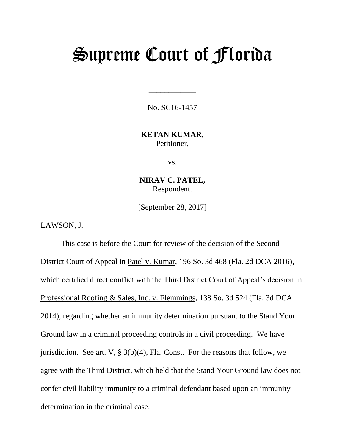## Supreme Court of Florida

No. SC16-1457 \_\_\_\_\_\_\_\_\_\_\_\_

\_\_\_\_\_\_\_\_\_\_\_\_

**KETAN KUMAR,** Petitioner,

vs.

**NIRAV C. PATEL,** Respondent.

[September 28, 2017]

LAWSON, J.

This case is before the Court for review of the decision of the Second District Court of Appeal in Patel v. Kumar, 196 So. 3d 468 (Fla. 2d DCA 2016), which certified direct conflict with the Third District Court of Appeal's decision in Professional Roofing & Sales, Inc. v. Flemmings, 138 So. 3d 524 (Fla. 3d DCA 2014), regarding whether an immunity determination pursuant to the Stand Your Ground law in a criminal proceeding controls in a civil proceeding. We have jurisdiction. See art. V,  $\S 3(b)(4)$ , Fla. Const. For the reasons that follow, we agree with the Third District, which held that the Stand Your Ground law does not confer civil liability immunity to a criminal defendant based upon an immunity determination in the criminal case.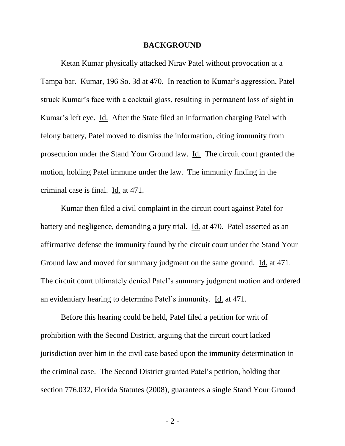## **BACKGROUND**

Ketan Kumar physically attacked Nirav Patel without provocation at a Tampa bar. Kumar, 196 So. 3d at 470. In reaction to Kumar's aggression, Patel struck Kumar's face with a cocktail glass, resulting in permanent loss of sight in Kumar's left eye. Id. After the State filed an information charging Patel with felony battery, Patel moved to dismiss the information, citing immunity from prosecution under the Stand Your Ground law. Id. The circuit court granted the motion, holding Patel immune under the law. The immunity finding in the criminal case is final. Id. at 471.

Kumar then filed a civil complaint in the circuit court against Patel for battery and negligence, demanding a jury trial. Id. at 470. Patel asserted as an affirmative defense the immunity found by the circuit court under the Stand Your Ground law and moved for summary judgment on the same ground. Id. at 471. The circuit court ultimately denied Patel's summary judgment motion and ordered an evidentiary hearing to determine Patel's immunity. Id. at 471.

Before this hearing could be held, Patel filed a petition for writ of prohibition with the Second District, arguing that the circuit court lacked jurisdiction over him in the civil case based upon the immunity determination in the criminal case. The Second District granted Patel's petition, holding that section 776.032, Florida Statutes (2008), guarantees a single Stand Your Ground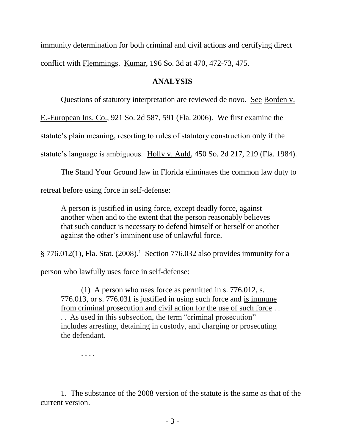immunity determination for both criminal and civil actions and certifying direct conflict with Flemmings. Kumar, 196 So. 3d at 470, 472-73, 475.

## **ANALYSIS**

Questions of statutory interpretation are reviewed de novo. See Borden v.

E.-European Ins. Co., 921 So. 2d 587, 591 (Fla. 2006). We first examine the

statute's plain meaning, resorting to rules of statutory construction only if the

statute's language is ambiguous. Holly v. Auld, 450 So. 2d 217, 219 (Fla. 1984).

The Stand Your Ground law in Florida eliminates the common law duty to retreat before using force in self-defense:

A person is justified in using force, except deadly force, against another when and to the extent that the person reasonably believes that such conduct is necessary to defend himself or herself or another against the other's imminent use of unlawful force.

 $\S 776.012(1)$ , Fla. Stat. (2008).<sup>1</sup> Section 776.032 also provides immunity for a

person who lawfully uses force in self-defense:

(1) A person who uses force as permitted in s. 776.012, s. 776.013, or s. 776.031 is justified in using such force and is immune from criminal prosecution and civil action for the use of such force . . . . As used in this subsection, the term "criminal prosecution" includes arresting, detaining in custody, and charging or prosecuting the defendant.

. . . .

l

<sup>1.</sup> The substance of the 2008 version of the statute is the same as that of the current version.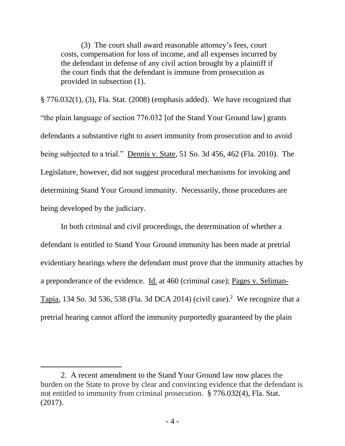(3) The court shall award reasonable attorney's fees, court costs, compensation for loss of income, and all expenses incurred by the defendant in defense of any civil action brought by a plaintiff if the court finds that the defendant is immune from prosecution as provided in subsection (1).

§ 776.032(1), (3), Fla. Stat. (2008) (emphasis added). We have recognized that "the plain language of section 776.032 [of the Stand Your Ground law] grants defendants a substantive right to assert immunity from prosecution and to avoid being subjected to a trial." Dennis v. State, 51 So. 3d 456, 462 (Fla. 2010). The Legislature, however, did not suggest procedural mechanisms for invoking and determining Stand Your Ground immunity. Necessarily, those procedures are being developed by the judiciary.

In both criminal and civil proceedings, the determination of whether a defendant is entitled to Stand Your Ground immunity has been made at pretrial evidentiary hearings where the defendant must prove that the immunity attaches by a preponderance of the evidence. Id. at 460 (criminal case); Pages v. Seliman-Tapia, 134 So. 3d 536, 538 (Fla. 3d DCA 2014) (civil case).<sup>2</sup> We recognize that a pretrial hearing cannot afford the immunity purportedly guaranteed by the plain

l

<sup>2.</sup> A recent amendment to the Stand Your Ground law now places the burden on the State to prove by clear and convincing evidence that the defendant is not entitled to immunity from criminal prosecution. § 776.032(4), Fla. Stat. (2017).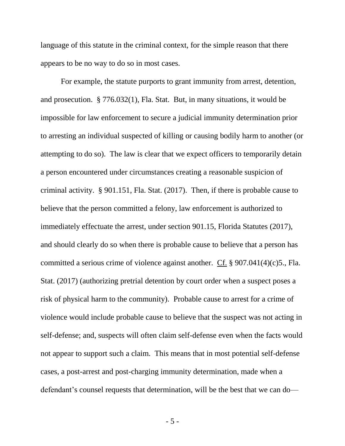language of this statute in the criminal context, for the simple reason that there appears to be no way to do so in most cases.

For example, the statute purports to grant immunity from arrest, detention, and prosecution. § 776.032(1), Fla. Stat. But, in many situations, it would be impossible for law enforcement to secure a judicial immunity determination prior to arresting an individual suspected of killing or causing bodily harm to another (or attempting to do so). The law is clear that we expect officers to temporarily detain a person encountered under circumstances creating a reasonable suspicion of criminal activity. § 901.151, Fla. Stat. (2017). Then, if there is probable cause to believe that the person committed a felony, law enforcement is authorized to immediately effectuate the arrest, under section 901.15, Florida Statutes (2017), and should clearly do so when there is probable cause to believe that a person has committed a serious crime of violence against another. Cf. § 907.041(4)(c)5., Fla. Stat. (2017) (authorizing pretrial detention by court order when a suspect poses a risk of physical harm to the community). Probable cause to arrest for a crime of violence would include probable cause to believe that the suspect was not acting in self-defense; and, suspects will often claim self-defense even when the facts would not appear to support such a claim. This means that in most potential self-defense cases, a post-arrest and post-charging immunity determination, made when a defendant's counsel requests that determination, will be the best that we can do—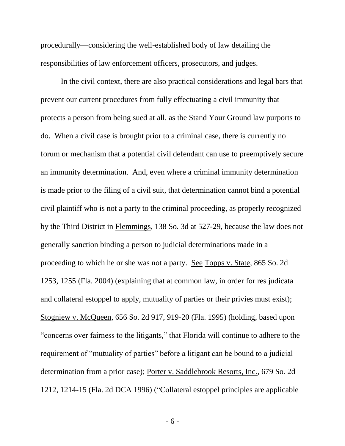procedurally—considering the well-established body of law detailing the responsibilities of law enforcement officers, prosecutors, and judges.

In the civil context, there are also practical considerations and legal bars that prevent our current procedures from fully effectuating a civil immunity that protects a person from being sued at all, as the Stand Your Ground law purports to do. When a civil case is brought prior to a criminal case, there is currently no forum or mechanism that a potential civil defendant can use to preemptively secure an immunity determination. And, even where a criminal immunity determination is made prior to the filing of a civil suit, that determination cannot bind a potential civil plaintiff who is not a party to the criminal proceeding, as properly recognized by the Third District in Flemmings, 138 So. 3d at 527-29, because the law does not generally sanction binding a person to judicial determinations made in a proceeding to which he or she was not a party. See Topps v. State, 865 So. 2d 1253, 1255 (Fla. 2004) (explaining that at common law, in order for res judicata and collateral estoppel to apply, mutuality of parties or their privies must exist); Stogniew v. McQueen, 656 So. 2d 917, 919-20 (Fla. 1995) (holding, based upon "concerns over fairness to the litigants," that Florida will continue to adhere to the requirement of "mutuality of parties" before a litigant can be bound to a judicial determination from a prior case); Porter v. Saddlebrook Resorts, Inc., 679 So. 2d 1212, 1214-15 (Fla. 2d DCA 1996) ("Collateral estoppel principles are applicable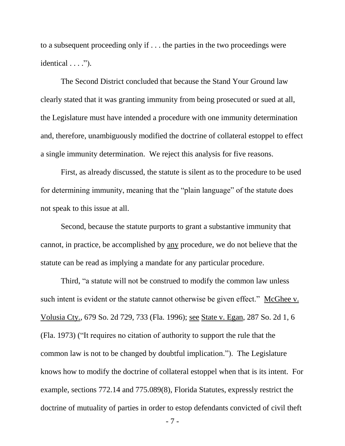to a subsequent proceeding only if . . . the parties in the two proceedings were identical  $\dots$ ").

The Second District concluded that because the Stand Your Ground law clearly stated that it was granting immunity from being prosecuted or sued at all, the Legislature must have intended a procedure with one immunity determination and, therefore, unambiguously modified the doctrine of collateral estoppel to effect a single immunity determination. We reject this analysis for five reasons.

First, as already discussed, the statute is silent as to the procedure to be used for determining immunity, meaning that the "plain language" of the statute does not speak to this issue at all.

Second, because the statute purports to grant a substantive immunity that cannot, in practice, be accomplished by any procedure, we do not believe that the statute can be read as implying a mandate for any particular procedure.

Third, "a statute will not be construed to modify the common law unless such intent is evident or the statute cannot otherwise be given effect." McGhee v. Volusia Cty., 679 So. 2d 729, 733 (Fla. 1996); see State v. Egan, 287 So. 2d 1, 6 (Fla. 1973) ("It requires no citation of authority to support the rule that the common law is not to be changed by doubtful implication."). The Legislature knows how to modify the doctrine of collateral estoppel when that is its intent. For example, sections 772.14 and 775.089(8), Florida Statutes, expressly restrict the doctrine of mutuality of parties in order to estop defendants convicted of civil theft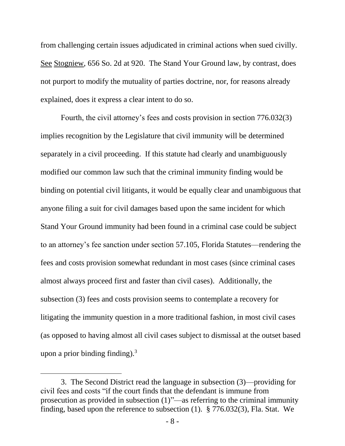from challenging certain issues adjudicated in criminal actions when sued civilly. See Stogniew, 656 So. 2d at 920. The Stand Your Ground law, by contrast, does not purport to modify the mutuality of parties doctrine, nor, for reasons already explained, does it express a clear intent to do so.

Fourth, the civil attorney's fees and costs provision in section 776.032(3) implies recognition by the Legislature that civil immunity will be determined separately in a civil proceeding. If this statute had clearly and unambiguously modified our common law such that the criminal immunity finding would be binding on potential civil litigants, it would be equally clear and unambiguous that anyone filing a suit for civil damages based upon the same incident for which Stand Your Ground immunity had been found in a criminal case could be subject to an attorney's fee sanction under section 57.105, Florida Statutes—rendering the fees and costs provision somewhat redundant in most cases (since criminal cases almost always proceed first and faster than civil cases). Additionally, the subsection (3) fees and costs provision seems to contemplate a recovery for litigating the immunity question in a more traditional fashion, in most civil cases (as opposed to having almost all civil cases subject to dismissal at the outset based upon a prior binding finding). $3$ 

l

<sup>3.</sup> The Second District read the language in subsection (3)—providing for civil fees and costs "if the court finds that the defendant is immune from prosecution as provided in subsection (1)"—as referring to the criminal immunity finding, based upon the reference to subsection (1). § 776.032(3), Fla. Stat. We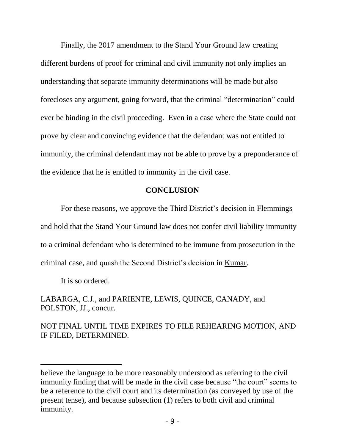Finally, the 2017 amendment to the Stand Your Ground law creating different burdens of proof for criminal and civil immunity not only implies an understanding that separate immunity determinations will be made but also forecloses any argument, going forward, that the criminal "determination" could ever be binding in the civil proceeding. Even in a case where the State could not prove by clear and convincing evidence that the defendant was not entitled to immunity, the criminal defendant may not be able to prove by a preponderance of the evidence that he is entitled to immunity in the civil case.

## **CONCLUSION**

For these reasons, we approve the Third District's decision in Flemmings and hold that the Stand Your Ground law does not confer civil liability immunity to a criminal defendant who is determined to be immune from prosecution in the criminal case, and quash the Second District's decision in Kumar.

It is so ordered.

l

LABARGA, C.J., and PARIENTE, LEWIS, QUINCE, CANADY, and POLSTON, JJ., concur.

NOT FINAL UNTIL TIME EXPIRES TO FILE REHEARING MOTION, AND IF FILED, DETERMINED.

believe the language to be more reasonably understood as referring to the civil immunity finding that will be made in the civil case because "the court" seems to be a reference to the civil court and its determination (as conveyed by use of the present tense), and because subsection (1) refers to both civil and criminal immunity.